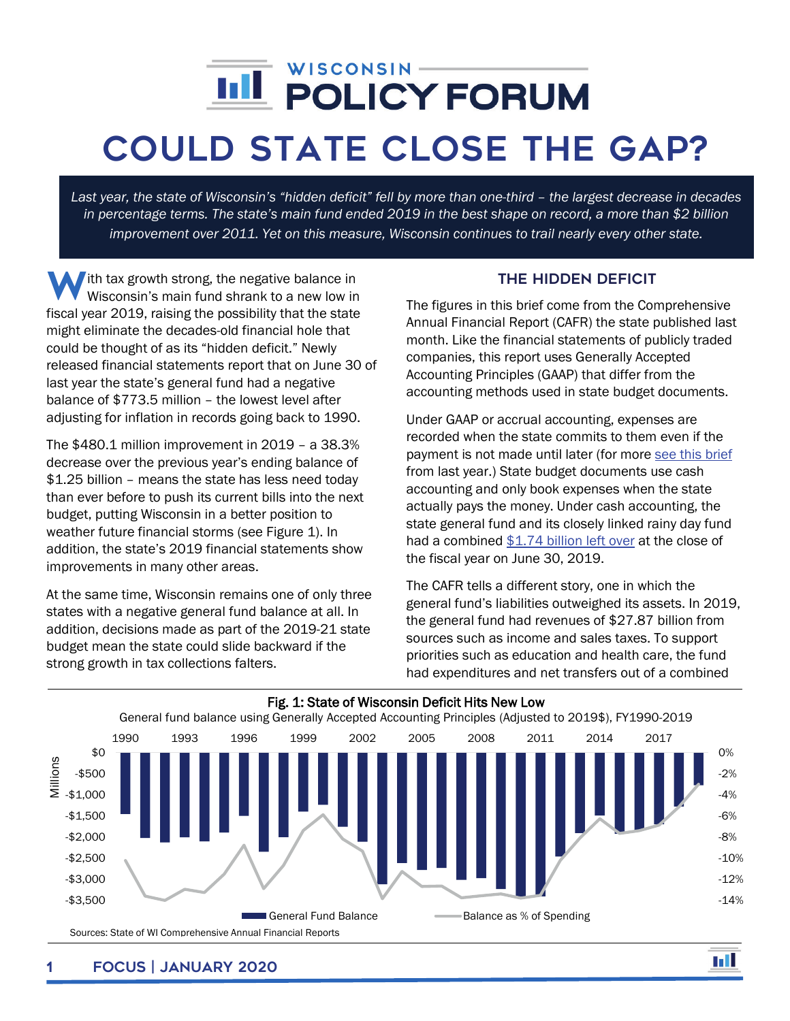## í

## Could state Close the GAP?

*Last year, the state of Wisconsin's "hidden deficit" fell by more than one-third – the largest decrease in decades in percentage terms. The state's main fund ended 2019 in the best shape on record, a more than \$2 billion improvement over 2011. Yet on this measure, Wisconsin continues to trail nearly every other state.* 

With tax growth strong, the negative balance in<br>Wisconsin's main fund shrank to a new low in Wisconsin's main fund shrank to a new low in fiscal year 2019, raising the possibility that the state might eliminate the decades-old financial hole that could be thought of as its "hidden deficit." Newly released financial statements report that on June 30 of last year the state's general fund had a negative balance of \$773.5 million – the lowest level after adjusting for inflation in records going back to 1990.

The \$480.1 million improvement in 2019 – a 38.3% decrease over the previous year's ending balance of \$1.25 billion – means the state has less need today than ever before to push its current bills into the next budget, putting Wisconsin in a better position to weather future financial storms (see Figure 1). In addition, the state's 2019 financial statements show improvements in many other areas.

At the same time, Wisconsin remains one of only three states with a negative general fund balance at all. In addition, decisions made as part of the 2019-21 state budget mean the state could slide backward if the strong growth in tax collections falters.

## The Hidden deficit

The figures in this brief come from the Comprehensive Annual Financial Report (CAFR) the state published last month. Like the financial statements of publicly traded companies, this report uses Generally Accepted Accounting Principles (GAAP) that differ from the accounting methods used in state budget documents.

Under GAAP or accrual accounting, expenses are recorded when the state commits to them even if the payment is not made until later (for mor[e see this brief](https://wispolicyforum.org/focus/state-budget-picture-brightens-but-concerns-remain/) from last year.) State budget documents use cash accounting and only book expenses when the state actually pays the money. Under cash accounting, the state general fund and its closely linked rainy day fund had a combined \$1.74 [billion left over](https://wispolicyforum.org/focus/with-tax-growth-strong-state-reserves-highest-in-decades/) at the close of the fiscal year on June 30, 2019.

The CAFR tells a different story, one in which the general fund's liabilities outweighed its assets. In 2019, the general fund had revenues of \$27.87 billion from sources such as income and sales taxes. To support priorities such as education and health care, the fund had expenditures and net transfers out of a combined